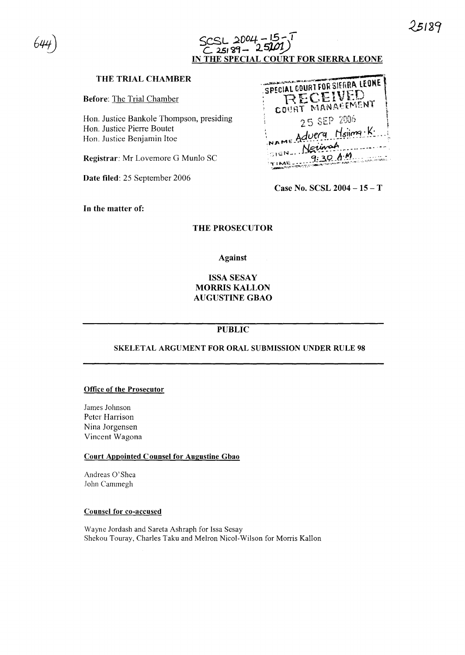



### **THE TRIAL CHAMBER**

**Before:** The Trial Chamber

Hon. Justice Bankole Thompson, presiding Hon. Justice Pierre Boutet Hon. Justice Benjamin Hoe

**Registrar:** Mr Lovemore G Munlo SC

**Date filed:** 25 September 2006

| SPECIAL COURT FOR SIERRA LEONE<br>a de la Children de la Children de la<br>RECEIVED |  |
|-------------------------------------------------------------------------------------|--|
| COURT MANAGEMENT                                                                    |  |
| 25 SEP 2006<br>NAME Adverg Holing. K.                                               |  |
| ISIEN Neurot<br>9:30A<br>TIME-<br><b>NEWS AREA PROPERTY</b>                         |  |

**Case No. SCSL 2004 - 15** - T

**In the matter of:**

#### **THE PROSECUTOR**

#### **Against**

## **ISSASESAY MORRIS KALLON AUGUSTINE GBAO**

## **PUBLIC**

#### **SKELETAL ARGUMENT FOR ORAL SUBMISSION UNDER RULE 98**

#### **Office of the Prosecutor**

James Johnson Peter Harrison Nina Jorgensen Vincent Wagona

#### **Court Appointed Counsel for Augustine Gbao**

Andreas 0'Shea John Cammegh

#### **Counsel for co-accused**

Wayne Jordash and Sareta Ashraph for Issa Sesay Shekou Touray, Charles Taku and Melron Nicol-Wilson for Morris Kallon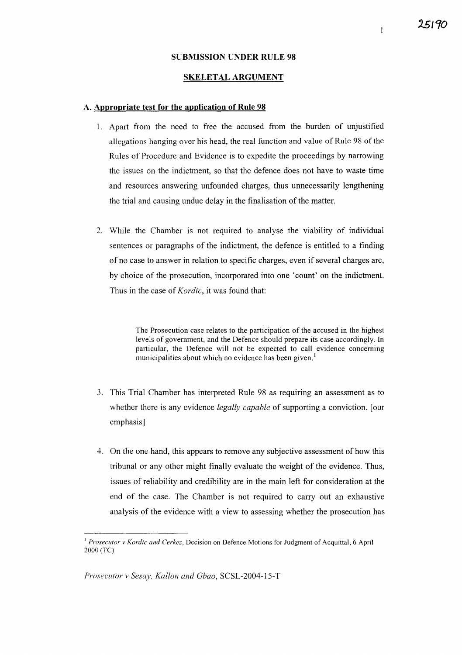### SUBMISSION UNDER RULE 98

#### SKELETAL ARGUMENT

#### A. Appropriate test for the application of Rule 98

- I. Apart from the need to free the accused from the burden of unjustified allegations hanging over his head, the real function and value of Rule 98 of the Rules of Procedure and Evidence is to expedite the proceedings by narrowing the issues on the indictment, so that the defence does not have to waste time and resources answering unfounded charges, thus unnecessarily lengthening the trial and causing undue delay in the finalisation of the matter.
- 2. While the Chamber is not required to analyse the viability of individual sentences or paragraphs of the indictment, the defence is entitled to a finding of no case to answer in relation to specific charges, even if several charges are, by choice of the prosecution, incorporated into one 'count' on the indictment. Thus in the case of *Kordic,* it was found that:

The Prosecution case relates to the participation of the accused in the highest levels of government, and the Defence should prepare its case accordingly. In particular, the Defence will not be expected to call evidence concerning municipalities about which no evidence has been given.<sup>1</sup>

- 3. This Trial Chamber has interpreted Rule 98 as requiring an assessment as to whether there is any evidence *legally capable* of supporting a conviction. [our emphasis]
- 4. On the one hand, this appears to remove any subjective assessment of how this tribunal or any other might finally evaluate the weight of the evidence. Thus, issues of reliability and credibility are in the main left for consideration at the end of the case. The Chamber is not required to carry out an exhaustive analysis of the evidence with a view to assessing whether the prosecution has

*Prosecutor* v *Sesay, Kallon and Gbao,* SCSL-2004-15-T

25190

 $\mathbf{1}$ 

<sup>&</sup>lt;sup>1</sup> Prosecutor v Kordic and Cerkez, Decision on Defence Motions for Judgment of Acquittal, 6 April 2000 (TC)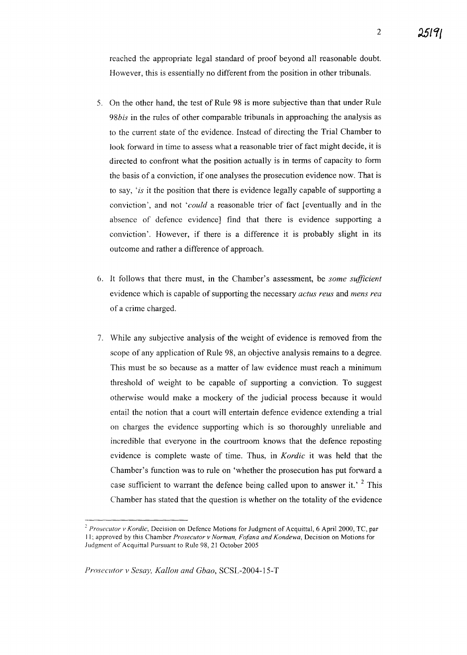reached the appropriate legal standard of proof beyond all reasonable doubt. However, this is essentially no different from the position in other tribunals.

- 5. On the other hand, the test of Rule 98 is more subjective than that under Rule *98bis* in the rules of other comparable tribunals in approaching the analysis as to the current state of the evidence. Instead of directing the Trial Chamber to look forward in time to assess what a reasonable trier of fact might decide, it is directed to confront what the position actually is in terms of capacity to form the basis of a conviction, if one analyses the prosecution evidence now. That is to say, *'is* it the position that there is evidence legally capable of supporting a conviction', and not *'could* a reasonable trier of fact [eventually and in the absence of defence evidence] find that there is evidence supporting a conviction'. However, if there is a difference it is probably slight in its outcome and rather a difference of approach.
- 6. It follows that there must, in the Chamber's assessment, be *some sufficient* evidence which is capable of supporting the necessary *actus reus* and *mens rea* of a crime charged.
- 7. While any subjective analysis of the weight of evidence is removed from the scope of any application of Rule 98, an objective analysis remains to a degree. This must be so because as a matter of law evidence must reach a minimum threshold of weight to be capable of supporting a conviction. To suggest otherwise would make a mockery of the judicial process because it would entail the notion that a court will entertain defence evidence extending a trial on charges the evidence supporting which is so thoroughly unreliable and incredible that everyone in the courtroom knows that the defence reposting evidence is complete waste of time. Thus, in *Kordic* it was held that the Chamber's function was to rule on 'whether the prosecution has put forward a case sufficient to warrant the defence being called upon to answer it.<sup> $2$ </sup> This Chamber has stated that the question is whether on the totality of the evidence

<sup>&</sup>lt;sup>2</sup> Prosecutor v Kordic, Decision on Defence Motions for Judgment of Acquittal, 6 April 2000, TC, par I I; approved by this Chamber *Prosecutor v Norman, Fofana and Kondewa,* Decision on Motions for Judgment of Acquittal Pursuant to Rule 98, 21 October 2005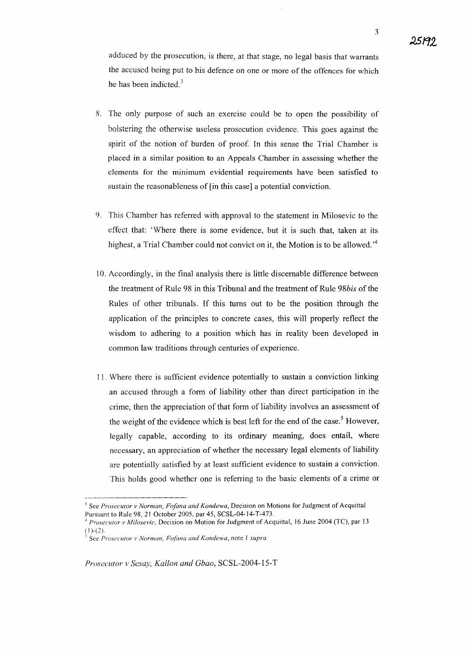- 8. The only purpose of such an exercise could be to open the possibility of bolstering the otherwise useless prosecution evidence. This goes against the spirit of the notion of burden of proof. In this sense the Trial Chamber is placed in a similar position to an Appeals Chamber in assessing whether the elements for the minimum evidential requirements have been satisfied to sustain the reasonableness of [in this case] a potential conviction.
- 9. This Chamber has referred with approval to the statement in Milosevic to the effect that: 'Where there is some evidence, but it is such that, taken at its highest, a Trial Chamber could not convict on it, the Motion is to be allowed.<sup> $4$ </sup>
- 10. Accordingly, in the final analysis there is little discemable difference between the treatment of Rule 98 in this Tribunal and the treatment of Rule *98bis* of the Rules of other tribunals. If this turns out to be the position through the application of the principles to concrete cases, this will properly reflect the wisdom to adhering to a position which has in reality been developed in common law traditions through centuries of experience.
- 11. Where there is sufficient evidence potentially to sustain a conviction linking an accused through a fonn of liability other than direct participation in the crime, then the appreciation of that fonn of liability involves an assessment of the weight of the evidence which is best left for the end of the case.<sup>5</sup> However, legally capable, according to its ordinary meaning, does entail, where necessary, an appreciation of whether the necessary legal elements of liability are potentially satisfied by at least sufficient evidence to sustain a conviction. This holds good whether one is referring to the basic elements of a crime or

<sup>&</sup>lt;sup>3</sup> See *Prosecutor v Norman, Fofana and Kondewa*, Decision on Motions for Judgment of Acquittal Pursuant to Rule 98, 21 October 2005, par 45, SCSL-04-14-*T-473.*

<sup>4</sup> *Prosecutor v Milosevic,* Decision on Motion for Judgment of Acquittal, 16 June 2004 *(TC),* par 13  $(1)-(2)$ .

<sup>,</sup> See *Prosecutor v Norman, Foj'ana and Kondewa,* note I *supra*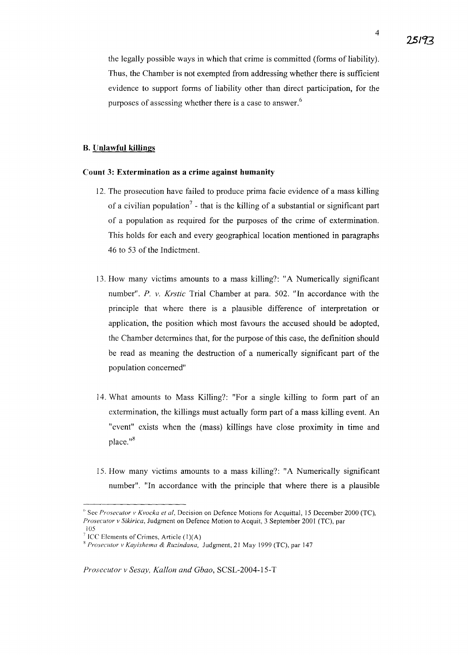the legally possible ways in which that crime is committed (forms of liability). Thus, the Chamber is not exempted from addressing whether there is sufficient evidence to support forms of liability other than direct participation, for the purposes of assessing whether there is a case to answer.<sup>6</sup>

#### B. Unlawful killings

#### Count 3: Extermination as a crime against humanity

- 12. The prosecution have failed to produce prima facie evidence of a mass killing of a civilian population<sup>7</sup> - that is the killing of a substantial or significant part of a population as required for the purposes of the crime of extermination. This holds for each and every geographical location mentioned in paragraphs 46 to 53 of the Indictment.
- 13. How many victims amounts to a mass killing?: "A Numerically significant number". P. v. *Krstic* Trial Chamber at para. 502. "In accordance with the principle that where there is a plausible difference of interpretation or application, the position which most favours the accused should be adopted, the Chamber determines that, for the purpose of this case, the definition should be read as meaning the destruction of a numerically significant part of the population concerned"
- 14. What amounts to Mass Killing?: "For a single killing to form part of an extermination, the killings must actually form part of a mass killing event. An "event" exists when the (mass) killings have close proximity in time and place."<sup>8</sup>
- 15. How many victims amounts to a mass killing?: "A Numerically significant number". "In accordance with the principle that where there is a plausible

<sup>(.</sup> See *Prosecutor v Kvocka et ai,* Decision on Defence Motions for Acquittal, 15 December 2000 *(TC), Prosecutor v Sikirica,* Judgment on Defence Motion to Acquit, 3 September 2001 *(TC),* par 105

<sup>&</sup>lt;sup>7</sup> ICC Elements of Crimes, Article  $(1)(A)$ 

*Prosecutor v Kayishema* & *Ruzindana,* Judgment, 21 May 1999 (TC), par 147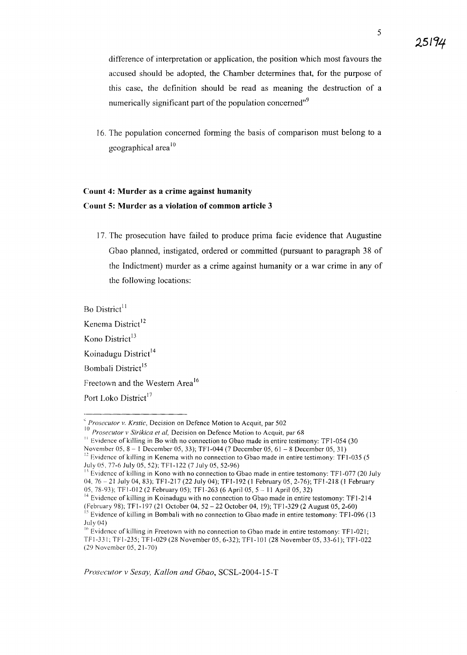5

difference of interpretation or application, the position which most favours the accused should be adopted, the Chamber determines that, for the purpose of this case, the definition should be read as meaning the destruction of a numerically significant part of the population concerned"<sup>9</sup>

16. The population concerned forming the basis of comparison must belong to a geographical area $10$ 

# **Count 4: Murder as a crime against humanity Count 5: Murder as a violation of common article 3**

17. The prosecution have failed to produce prima facie evidence that Augustine Gbao planned, instigated, ordered or committed (pursuant to paragraph 38 of the Indictment) murder as a crime against humanity or a war crime in any of the following locations:

Bo District<sup>11</sup>

Kenema District<sup>12</sup>

Kono District $13$ 

Koinadugu District<sup>14</sup>

Bombali District<sup>15</sup>

Freetown and the Western Area<sup>16</sup>

Port Loko District<sup>17</sup>

November 05, 8 - 1 December 05, 33); TF1-044 (7 December 05, 61 - 8 December 05, 31)

<sup>&</sup>lt;, *Prosecutor v. Krstic,* Decision on Defence Motion to Acquit, par 502

<sup>10</sup> *Prosecutor v Sirikica et aI,* Decision on Defence Motion to Acquit, par 68

 $11$  Evidence of killing in Bo with no connection to Gbao made in entire testimony: TF1-054 (30)

 $12$  Evidence of killing in Kenema with no connection to Gbao made in entire testimony: TF1-035 (5) July 05,77-6 July 05,52); TFI-I22 (7 July 05,52-96)

 $\frac{1}{2}$  Evidence of killing in Kono with no connection to Gbao made in entire testomony: TF1-077 (20 July 04, 76 - 21 July 04, 83); TFl-217 (22 July 04); TFI-192 (I February 05,2-76); TFI-218 (I February OS, 78-93); TF I-OJ 2 (2 February 05); TFI-263 (6 April OS, 5 - II April OS, 32)

<sup>&</sup>lt;sup>14</sup> Evidence of killing in Koinadugu with no connection to Gbao made in entire testomony: TF1-214 (February 98); TFI-197 (21 October 04,52 - 22 October 04,19); TFI-329 (2 August 05,2-60)

 $15$  Evidence of killing in Bombali with no connection to Gbao made in entire testomony: TF1-096 (13  $July(04)$ 

<sup>&</sup>lt;sup>16</sup> Evidence of killing in Freetown with no connection to Gbao made in entire testomony: TF1-021; TFl-33 I; TFI-235; TFI-029 (28 November 05,6-32); TFI-IO I (28 November OS, 33-61); TFI-022 (29 November OS, 21-70)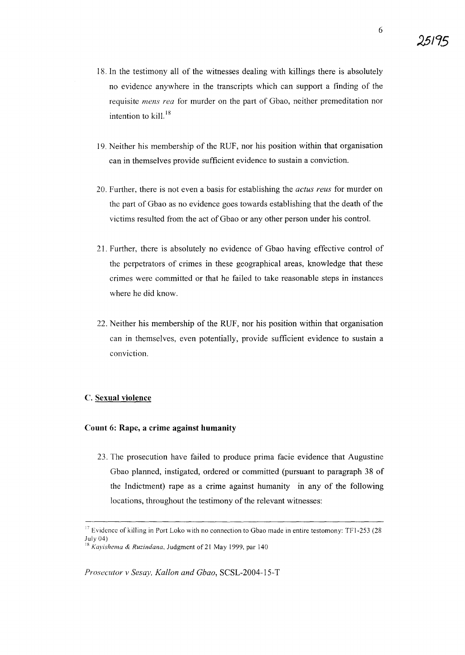**25/95**

- 18. In the testimony all of the witnesses dealing with killings there is absolutely no evidence anywhere in the transcripts which can support a finding of the requisite *mens rea* for murder on the part of Gbao, neither premeditation nor intention to kill. <sup>18</sup>
- 19. Neither his membership of the RUF, nor his position within that organisation can in themselves provide sufficient evidence to sustain a conviction.
- 20. Further, there is not even a basis for establishing the *actus reus* for murder on the part of Gbao as no evidence goes towards establishing that the death of the victims resulted from the act of Gbao or any other person under his control.
- 21. Further, there is absolutely no evidence of Gbao having effective control of the perpetrators of crimes in these geographical areas, knowledge that these crimes were committed or that he failed to take reasonable steps in instances where he did know.
- 22. Neither his membership of the RUF, nor his position within that organisation can in themselves, even potentially, provide sufficient evidence to sustain a conviction.

#### C. **Sexual violence**

#### **Count 6: Rape, a crime against humanity**

23. The prosecution have failed to produce prima facie evidence that Augustine Gbao planned, instigated, ordered or committed (pursuant to paragraph 38 of the Indictment) rape as a crime against humanity in any of the following locations, throughout the testimony of the relevant witnesses:

*Prosecutor* v *Sesay, Kallon and Gbao,* SCSL-2004-15-T

 $17$  Evidence of killing in Port Loko with no connection to Gbao made in entire testomony: TF1-253 (28) July 04)

<sup>&</sup>lt;sup>3</sup> *Kayishema & Ruzindana, Judgment of 21 May 1999, par 140*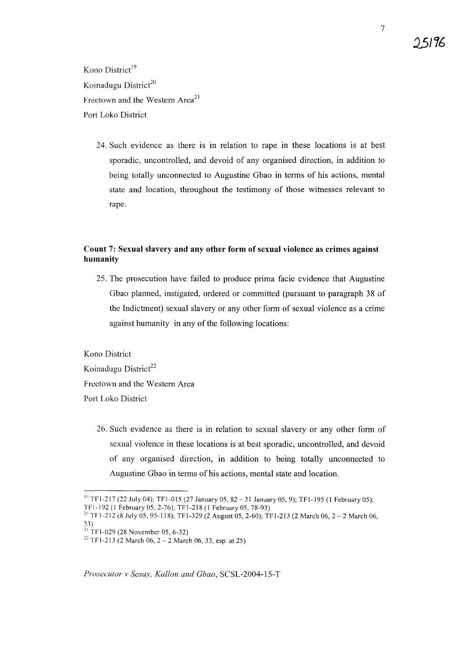Kono District<sup>19</sup> Koinadugu District $^{20}$ Freetown and the Western Area<sup>21</sup> Port Loko District

> 24. Such evidence as there is in relation to rape in these locations is at best sporadic, uncontrolled, and devoid of any organised direction, in addition to being totally unconnected to Augustine Gbao in terms of his actions, mental state and location, throughout the testimony of those witnesses relevant to rape.

### **Count 7: Sexual slavery and any other form of sexual violence as crimes against humanity**

25. The prosecution have failed to produce prima facie evidence that Augustine Gbao planned, instigated, ordered or committed (pursuant to paragraph 38 of the Indictment) sexual slavery or any other form of sexual violence as a crime against humanity in any of the following locations:

Kono District Koinadugu District<sup>22</sup> Freetown and the Western Area Port Loko District

> 26. Such evidence as there is in relation to sexual slavery or any other fonn of sexual violence in these locations is at best sporadic, uncontrolled, and devoid of any organised direction, in addition to being totally unconnected to Augustine Gbao in terms of his actions, mental state and location.

*Prosecutor v Sesay, Kallon and Gbao,* SCSL-2004-15-T

**1.5/16**

7

<sup>&</sup>lt;sup>19</sup> TF1-217 (22 July 04); TF1-015 (27 January 05, 82 - 31 January 05, 9); TF1-195 (1 February 05);

TFl-192 (I February OS, 2-76); TFI-218 (1 February OS, 78-93)

<sup>&</sup>lt;sup>20</sup> TF1-212 (8 July 05, 95-118); TF1-329 (2 August 05, 2-60); TF1-213 (2 March 06, 2 - 2 March 06,

<sup>33)</sup>

 $^{21}$  TF1-029 (28 November 05, 6-32)

<sup>&</sup>lt;sup>22</sup> TF1-213 (2 March 06, 2 – 2 March 06, 33, esp. at 25)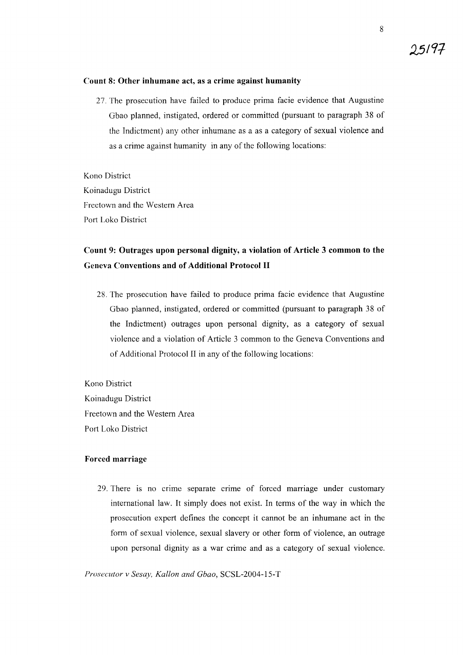#### **Count 8: Other inhumane act, as a crime against humanity**

27. The prosecution have failed to produce prima facie evidence that Augustine Gbao planned, instigated, ordered or committed (pursuant to paragraph 38 of the Indictment) any other inhumane as a as a category of sexual violence and as a crime against humanity in any of the following locations:

Kono District Koinadugu District Freetown and the Western Area Port Loko District

# **Count 9: Outrages upon personal dignity, a violation of Article 3 common to the Geneva Conventions and of Additional Protocol II**

28. The prosecution have failed to produce prima facie evidence that Augustine Gbao planned, instigated, ordered or committed (pursuant to paragraph 38 of the Indictment) outrages upon personal dignity, as a category of sexual violence and a violation of Article 3 common to the Geneva Conventions and of Additional Protocol II in any of the following locations:

Kono District Koinadugu District Freetown and the Western Area Port Loko District

#### **Forced marriage**

29. There is no crime separate crime of forced marriage under customary international law. It simply does not exist. In terms of the way in which the prosecution expert defines the concept it cannot be an inhumane act in the form of sexual violence, sexual slavery or other form of violence, an outrage upon personal dignity as a war crime and as a category of sexual violence.

*Prosecutor v Sesay, Kallon and Gbao,* SCSL-2004-15-T

95197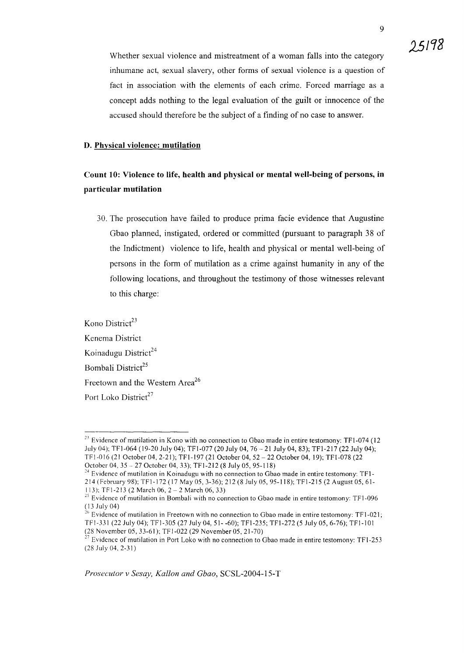9

Whether sexual violence and mistreatment of a woman falls into the category inhumane act, sexual slavery, other forms of sexual violence is a question of fact in association with the elements of each crime. Forced marriage as a concept adds nothing to the legal evaluation of the guilt or innocence of the accused should therefore be the subject of a finding of no case to answer.

#### **D. Physical violence: mutilation**

## **Count 10: Violence to life, health and physical or mental well-being of persons, in particular mutilation**

30. The prosecution have failed to produce prima facie evidence that Augustine Gbao planned, instigated, ordered or committed (pursuant to paragraph 38 of the Indictment) violence to life, health and physical or mental well-being of persons in the form of mutilation as a crime against humanity in any of the following locations, and throughout the testimony of those witnesses relevant to this charge:

Kono District $2<sup>3</sup>$ Kenema District Koinadugu District $^{24}$ Bombali District<sup>25</sup> Freetown and the Western Area<sup>26</sup> Port Loko District<sup>27</sup>

*Prosecutor* v *Sesay, Kallon and Gbao,* SCSL-2004-l5-T

 $23$  Evidence of mutilation in Kono with no connection to Gbao made in entire testomony: TF1-074 (12) July 04); TF1-064 (19-20 July 04); TFI-077 (20 July 04, 76 21 July 04, 83); TFI-217 (22 July 04); TF1-0 16 (21 October 04, 2-21); TFI-197 (21 October 04, 52 - 22 October 04, 19); TFI-078 (22 Octobcr 04, 35 - 27 October 04, 33); TFI-212 (8 July 05, 95-118)

<sup>&</sup>lt;sup>24</sup> Evidence of mutilation in Koinadugu with no connection to Gbao made in entire testomony: TF1-214 (February 98); TF1-172 (17 May 05, 3-36); 212 (8 July 05, 95-118); TFI-215 (2 August 05, 61- 113); TFl-213 (2 March 06, 2 - 2 March 06, 33)

 $25$  Evidence of mutilation in Bombali with no connection to Gbao made in entire testomony: TF1-096 (13 July 04)

<sup>&</sup>lt;sup>26</sup> Evidence of mutilation in Freetown with no connection to Gbao made in entire testomony: TF1-021; TFI-331 (22 July 04); TFI-305 (27 July 04,51- -60); TFI-235; TFI-272 (5 July 05,6-76); TFI-IOI (28 November 05, 33-61); TF 1-022 (29 November 05,21-70)

*n* EVidence of mutilation in Port Loko with no connection to Gbao made in entire testomony: TFI-253 (28 July 04, 2-31)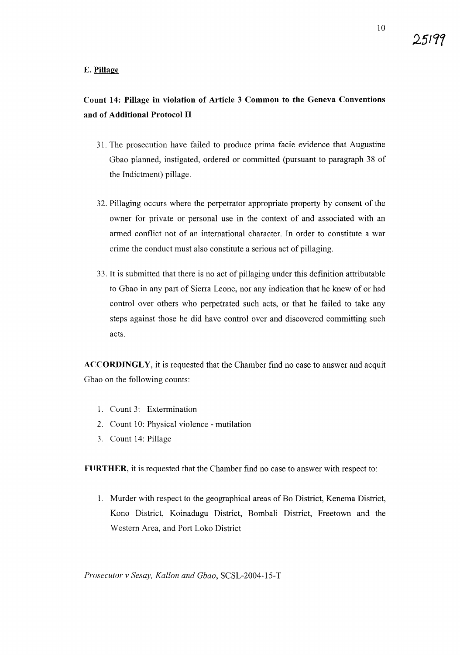**251Cf7**

## **Count 14: Pillage in violation of Article 3 Common to the Geneva Conventions and of Additional Protocol II**

- 31. The prosecution have failed to produce prima facie evidence that Augustine Gbao planned, instigated, ordered or committed (pursuant to paragraph 38 of the Indictment) pillage.
- 32. Pillaging occurs where the perpetrator appropriate property by consent of the owner for private or personal use in the context of and associated with an armed conflict not of an international character. In order to constitute a war crime the conduct must also constitute a serious act of pillaging.
- 33. It is submitted that there is no act of pillaging under this definition attributable to Gbao in any part of Sierra Leone, nor any indication that he knew of or had control over others who perpetrated such acts, or that he failed to take any steps against those he did have control over and discovered committing such acts.

**ACCORDINGLY,** it is requested that the Chamber find no case to answer and acquit Gbao on the following counts:

- 1. Count 3: Extermination
- 2. Count 10: Physical violence mutilation
- 3. Count 14: Pillage

**FURTHER,** it is requested that the Chamber find no case to answer with respect to:

1. Murder with respect to the geographical areas of Bo District, Kenema District, Kono District, Koinadugu District, Bombali District, Freetown and the Western Area, and Port Loko District

*Prosecutor* v *Sesay, Kallon and Gbao,* SCSL-2004-15-T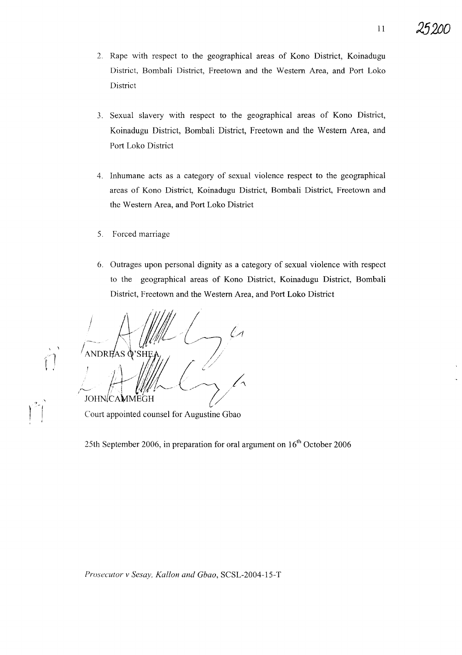- 2. Rape with respect to the geographical areas of Kono District, Koinadugu District, Bombali District, Freetown and the Western Area, and Port Loko District
- 3. Sexual slavery with respect to the geographical areas of Kono District, Koinadugu District, Bombali District, Freetown and the Western Area, and Port Loko District
- 4. Inhumane acts as a category of sexual violence respect to the geographical areas of Kono District, Koinadugu District, Bombali District, Freetown and the Western Area, and Port Loko District
- 5. Forced marriage
- 6. Outrages upon personal dignity as a category of sexual violence with respect to the geographical areas of Kono District, Koinadugu District, Bombali District, Freetown and the Western Area, and Port Loko District

 $\sim$ JOHN(CAMMEGH *it/l-* (~/A(/

Court appointed counsel for Augustine Gbao

 $\mathbf{I}$ 

25th September 2006, in preparation for oral argument on  $16<sup>th</sup>$  October 2006

*Prosecutor v Sesay, Kallon and Gbao,* SCSL-2004-15-T